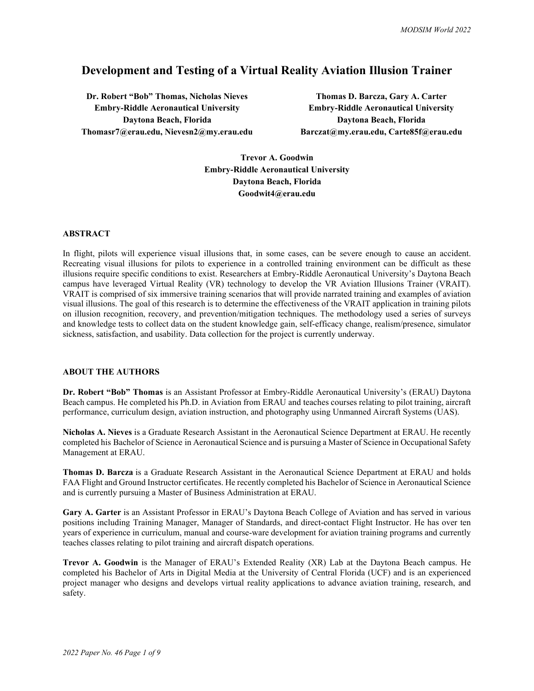# **Development and Testing of a Virtual Reality Aviation Illusion Trainer**

**Dr. Robert "Bob" Thomas, Nicholas Nieves Thomas D. Barcza, Gary A. Carter Embry-Riddle Aeronautical University Embry-Riddle Aeronautical University Daytona Beach, Florida Daytona Beach, Florida Thomasr7@erau.edu, Nievesn2@my.erau.edu Barczat@my.erau.edu, Carte85f@erau.edu**

**Trevor A. Goodwin Embry-Riddle Aeronautical University Daytona Beach, Florida Goodwit4@erau.edu**

#### **ABSTRACT**

In flight, pilots will experience visual illusions that, in some cases, can be severe enough to cause an accident. Recreating visual illusions for pilots to experience in a controlled training environment can be difficult as these illusions require specific conditions to exist. Researchers at Embry-Riddle Aeronautical University's Daytona Beach campus have leveraged Virtual Reality (VR) technology to develop the VR Aviation Illusions Trainer (VRAIT). VRAIT is comprised of six immersive training scenarios that will provide narrated training and examples of aviation visual illusions. The goal of this research is to determine the effectiveness of the VRAIT application in training pilots on illusion recognition, recovery, and prevention/mitigation techniques. The methodology used a series of surveys and knowledge tests to collect data on the student knowledge gain, self-efficacy change, realism/presence, simulator sickness, satisfaction, and usability. Data collection for the project is currently underway.

### **ABOUT THE AUTHORS**

**Dr. Robert "Bob" Thomas** is an Assistant Professor at Embry-Riddle Aeronautical University's (ERAU) Daytona Beach campus. He completed his Ph.D. in Aviation from ERAU and teaches courses relating to pilot training, aircraft performance, curriculum design, aviation instruction, and photography using Unmanned Aircraft Systems (UAS).

**Nicholas A. Nieves** is a Graduate Research Assistant in the Aeronautical Science Department at ERAU. He recently completed his Bachelor of Science in Aeronautical Science and is pursuing a Master of Science in Occupational Safety Management at ERAU.

**Thomas D. Barcza** is a Graduate Research Assistant in the Aeronautical Science Department at ERAU and holds FAA Flight and Ground Instructor certificates. He recently completed his Bachelor of Science in Aeronautical Science and is currently pursuing a Master of Business Administration at ERAU.

**Gary A. Garter** is an Assistant Professor in ERAU's Daytona Beach College of Aviation and has served in various positions including Training Manager, Manager of Standards, and direct-contact Flight Instructor. He has over ten years of experience in curriculum, manual and course-ware development for aviation training programs and currently teaches classes relating to pilot training and aircraft dispatch operations.

**Trevor A. Goodwin** is the Manager of ERAU's Extended Reality (XR) Lab at the Daytona Beach campus. He completed his Bachelor of Arts in Digital Media at the University of Central Florida (UCF) and is an experienced project manager who designs and develops virtual reality applications to advance aviation training, research, and safety.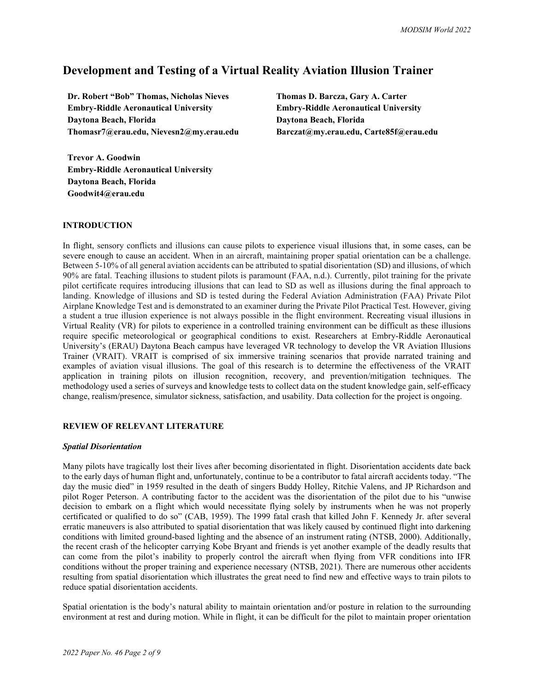# **Development and Testing of a Virtual Reality Aviation Illusion Trainer**

**Dr. Robert "Bob" Thomas, Nicholas Nieves Thomas D. Barcza, Gary A. Carter Embry-Riddle Aeronautical University Embry-Riddle Aeronautical University Daytona Beach, Florida Daytona Beach, Florida Thomasr7@erau.edu, Nievesn2@my.erau.edu Barczat@my.erau.edu, Carte85f@erau.edu**

**Trevor A. Goodwin Embry-Riddle Aeronautical University Daytona Beach, Florida Goodwit4@erau.edu**

#### **INTRODUCTION**

In flight, sensory conflicts and illusions can cause pilots to experience visual illusions that, in some cases, can be severe enough to cause an accident. When in an aircraft, maintaining proper spatial orientation can be a challenge. Between 5-10% of all general aviation accidents can be attributed to spatial disorientation (SD) and illusions, of which 90% are fatal. Teaching illusions to student pilots is paramount (FAA, n.d.). Currently, pilot training for the private pilot certificate requires introducing illusions that can lead to SD as well as illusions during the final approach to landing. Knowledge of illusions and SD is tested during the Federal Aviation Administration (FAA) Private Pilot Airplane Knowledge Test and is demonstrated to an examiner during the Private Pilot Practical Test. However, giving a student a true illusion experience is not always possible in the flight environment. Recreating visual illusions in Virtual Reality (VR) for pilots to experience in a controlled training environment can be difficult as these illusions require specific meteorological or geographical conditions to exist. Researchers at Embry-Riddle Aeronautical University's (ERAU) Daytona Beach campus have leveraged VR technology to develop the VR Aviation Illusions Trainer (VRAIT). VRAIT is comprised of six immersive training scenarios that provide narrated training and examples of aviation visual illusions. The goal of this research is to determine the effectiveness of the VRAIT application in training pilots on illusion recognition, recovery, and prevention/mitigation techniques. The methodology used a series of surveys and knowledge tests to collect data on the student knowledge gain, self-efficacy change, realism/presence, simulator sickness, satisfaction, and usability. Data collection for the project is ongoing.

#### **REVIEW OF RELEVANT LITERATURE**

#### *Spatial Disorientation*

Many pilots have tragically lost their lives after becoming disorientated in flight. Disorientation accidents date back to the early days of human flight and, unfortunately, continue to be a contributor to fatal aircraft accidents today. "The day the music died" in 1959 resulted in the death of singers Buddy Holley, Ritchie Valens, and JP Richardson and pilot Roger Peterson. A contributing factor to the accident was the disorientation of the pilot due to his "unwise decision to embark on a flight which would necessitate flying solely by instruments when he was not properly certificated or qualified to do so" (CAB, 1959). The 1999 fatal crash that killed John F. Kennedy Jr. after several erratic maneuvers is also attributed to spatial disorientation that was likely caused by continued flight into darkening conditions with limited ground-based lighting and the absence of an instrument rating (NTSB, 2000). Additionally, the recent crash of the helicopter carrying Kobe Bryant and friends is yet another example of the deadly results that can come from the pilot's inability to properly control the aircraft when flying from VFR conditions into IFR conditions without the proper training and experience necessary (NTSB, 2021). There are numerous other accidents resulting from spatial disorientation which illustrates the great need to find new and effective ways to train pilots to reduce spatial disorientation accidents.

Spatial orientation is the body's natural ability to maintain orientation and/or posture in relation to the surrounding environment at rest and during motion. While in flight, it can be difficult for the pilot to maintain proper orientation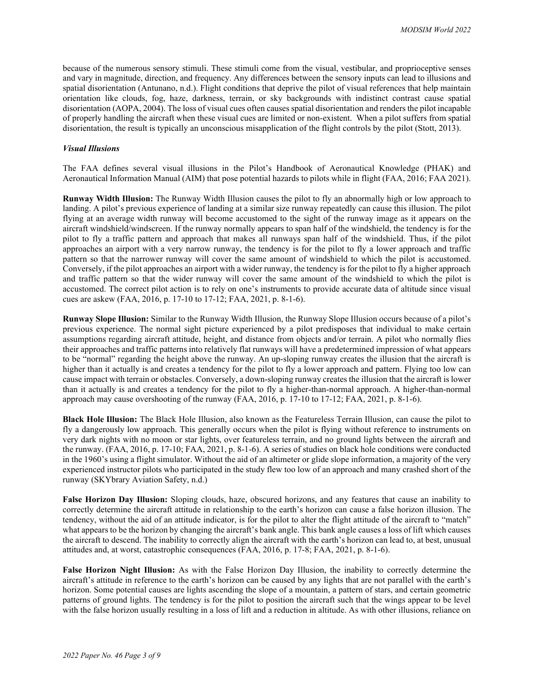because of the numerous sensory stimuli. These stimuli come from the visual, vestibular, and proprioceptive senses and vary in magnitude, direction, and frequency. Any differences between the sensory inputs can lead to illusions and spatial disorientation (Antunano, n.d.). Flight conditions that deprive the pilot of visual references that help maintain orientation like clouds, fog, haze, darkness, terrain, or sky backgrounds with indistinct contrast cause spatial disorientation (AOPA, 2004). The loss of visual cues often causes spatial disorientation and renders the pilot incapable of properly handling the aircraft when these visual cues are limited or non-existent. When a pilot suffers from spatial disorientation, the result is typically an unconscious misapplication of the flight controls by the pilot (Stott, 2013).

#### *Visual Illusions*

The FAA defines several visual illusions in the Pilot's Handbook of Aeronautical Knowledge (PHAK) and Aeronautical Information Manual (AIM) that pose potential hazards to pilots while in flight (FAA, 2016; FAA 2021).

**Runway Width Illusion:** The Runway Width Illusion causes the pilot to fly an abnormally high or low approach to landing. A pilot's previous experience of landing at a similar size runway repeatedly can cause this illusion. The pilot flying at an average width runway will become accustomed to the sight of the runway image as it appears on the aircraft windshield/windscreen. If the runway normally appears to span half of the windshield, the tendency is for the pilot to fly a traffic pattern and approach that makes all runways span half of the windshield. Thus, if the pilot approaches an airport with a very narrow runway, the tendency is for the pilot to fly a lower approach and traffic pattern so that the narrower runway will cover the same amount of windshield to which the pilot is accustomed. Conversely, if the pilot approaches an airport with a wider runway, the tendency is for the pilot to fly a higher approach and traffic pattern so that the wider runway will cover the same amount of the windshield to which the pilot is accustomed. The correct pilot action is to rely on one's instruments to provide accurate data of altitude since visual cues are askew (FAA, 2016, p. 17-10 to 17-12; FAA, 2021, p. 8-1-6).

**Runway Slope Illusion:** Similar to the Runway Width Illusion, the Runway Slope Illusion occurs because of a pilot's previous experience. The normal sight picture experienced by a pilot predisposes that individual to make certain assumptions regarding aircraft attitude, height, and distance from objects and/or terrain. A pilot who normally flies their approaches and traffic patterns into relatively flat runways will have a predetermined impression of what appears to be "normal" regarding the height above the runway. An up-sloping runway creates the illusion that the aircraft is higher than it actually is and creates a tendency for the pilot to fly a lower approach and pattern. Flying too low can cause impact with terrain or obstacles. Conversely, a down-sloping runway creates the illusion that the aircraft is lower than it actually is and creates a tendency for the pilot to fly a higher-than-normal approach. A higher-than-normal approach may cause overshooting of the runway (FAA, 2016, p. 17-10 to 17-12; FAA, 2021, p. 8-1-6).

**Black Hole Illusion:** The Black Hole Illusion, also known as the Featureless Terrain Illusion, can cause the pilot to fly a dangerously low approach. This generally occurs when the pilot is flying without reference to instruments on very dark nights with no moon or star lights, over featureless terrain, and no ground lights between the aircraft and the runway. (FAA, 2016, p. 17-10; FAA, 2021, p. 8-1-6). A series of studies on black hole conditions were conducted in the 1960's using a flight simulator. Without the aid of an altimeter or glide slope information, a majority of the very experienced instructor pilots who participated in the study flew too low of an approach and many crashed short of the runway (SKYbrary Aviation Safety, n.d.)

**False Horizon Day Illusion:** Sloping clouds, haze, obscured horizons, and any features that cause an inability to correctly determine the aircraft attitude in relationship to the earth's horizon can cause a false horizon illusion. The tendency, without the aid of an attitude indicator, is for the pilot to alter the flight attitude of the aircraft to "match" what appears to be the horizon by changing the aircraft's bank angle. This bank angle causes a loss of lift which causes the aircraft to descend. The inability to correctly align the aircraft with the earth's horizon can lead to, at best, unusual attitudes and, at worst, catastrophic consequences (FAA, 2016, p. 17-8; FAA, 2021, p. 8-1-6).

**False Horizon Night Illusion:** As with the False Horizon Day Illusion, the inability to correctly determine the aircraft's attitude in reference to the earth's horizon can be caused by any lights that are not parallel with the earth's horizon. Some potential causes are lights ascending the slope of a mountain, a pattern of stars, and certain geometric patterns of ground lights. The tendency is for the pilot to position the aircraft such that the wings appear to be level with the false horizon usually resulting in a loss of lift and a reduction in altitude. As with other illusions, reliance on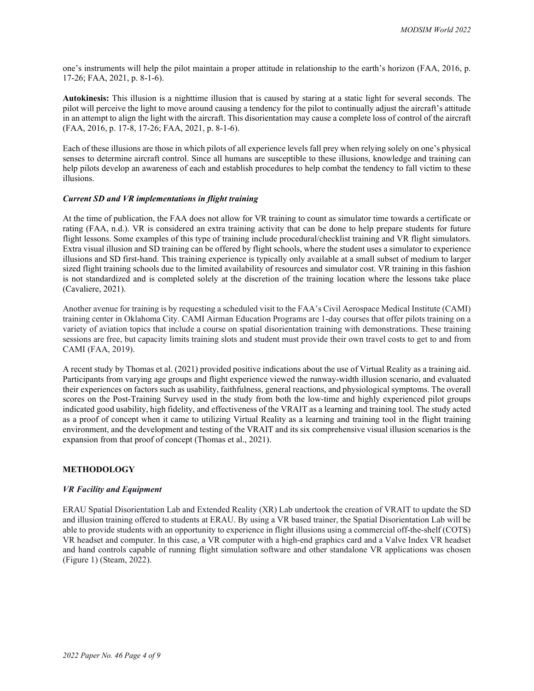one's instruments will help the pilot maintain a proper attitude in relationship to the earth's horizon (FAA, 2016, p. 17-26; FAA, 2021, p. 8-1-6).

**Autokinesis:** This illusion is a nighttime illusion that is caused by staring at a static light for several seconds. The pilot will perceive the light to move around causing a tendency for the pilot to continually adjust the aircraft's attitude in an attempt to align the light with the aircraft. This disorientation may cause a complete loss of control of the aircraft (FAA, 2016, p. 17-8, 17-26; FAA, 2021, p. 8-1-6).

Each of these illusions are those in which pilots of all experience levels fall prey when relying solely on one's physical senses to determine aircraft control. Since all humans are susceptible to these illusions, knowledge and training can help pilots develop an awareness of each and establish procedures to help combat the tendency to fall victim to these illusions.

#### *Current SD and VR implementations in flight training*

At the time of publication, the FAA does not allow for VR training to count as simulator time towards a certificate or rating (FAA, n.d.). VR is considered an extra training activity that can be done to help prepare students for future flight lessons. Some examples of this type of training include procedural/checklist training and VR flight simulators. Extra visual illusion and SD training can be offered by flight schools, where the student uses a simulator to experience illusions and SD first-hand. This training experience is typically only available at a small subset of medium to larger sized flight training schools due to the limited availability of resources and simulator cost. VR training in this fashion is not standardized and is completed solely at the discretion of the training location where the lessons take place (Cavaliere, 2021).

Another avenue for training is by requesting a scheduled visit to the FAA's Civil Aerospace Medical Institute (CAMI) training center in Oklahoma City. CAMI Airman Education Programs are 1-day courses that offer pilots training on a variety of aviation topics that include a course on spatial disorientation training with demonstrations. These training sessions are free, but capacity limits training slots and student must provide their own travel costs to get to and from CAMI (FAA, 2019).

A recent study by Thomas et al. (2021) provided positive indications about the use of Virtual Reality as a training aid. Participants from varying age groups and flight experience viewed the runway-width illusion scenario, and evaluated their experiences on factors such as usability, faithfulness, general reactions, and physiological symptoms. The overall scores on the Post-Training Survey used in the study from both the low-time and highly experienced pilot groups indicated good usability, high fidelity, and effectiveness of the VRAIT as a learning and training tool. The study acted as a proof of concept when it came to utilizing Virtual Reality as a learning and training tool in the flight training environment, and the development and testing of the VRAIT and its six comprehensive visual illusion scenarios is the expansion from that proof of concept (Thomas et al., 2021).

#### **METHODOLOGY**

#### *VR Facility and Equipment*

ERAU Spatial Disorientation Lab and Extended Reality (XR) Lab undertook the creation of VRAIT to update the SD and illusion training offered to students at ERAU. By using a VR based trainer, the Spatial Disorientation Lab will be able to provide students with an opportunity to experience in flight illusions using a commercial off-the-shelf (COTS) VR headset and computer. In this case, a VR computer with a high-end graphics card and a Valve Index VR headset and hand controls capable of running flight simulation software and other standalone VR applications was chosen (Figure 1) (Steam, 2022).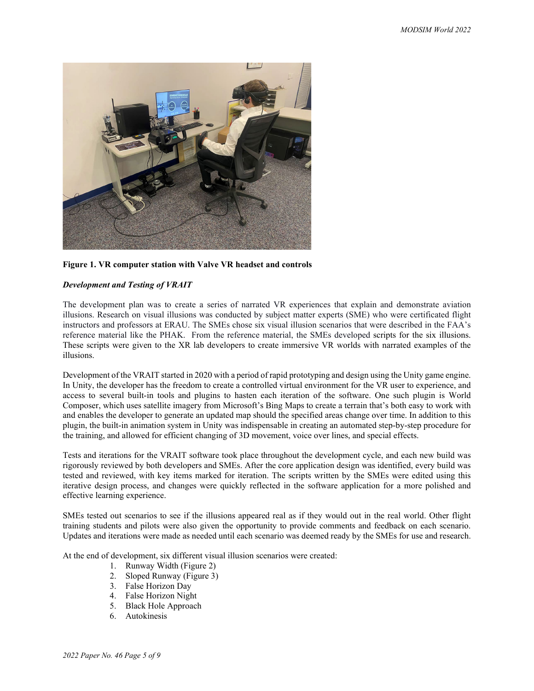

**Figure 1. VR computer station with Valve VR headset and controls**

## *Development and Testing of VRAIT*

The development plan was to create a series of narrated VR experiences that explain and demonstrate aviation illusions. Research on visual illusions was conducted by subject matter experts (SME) who were certificated flight instructors and professors at ERAU. The SMEs chose six visual illusion scenarios that were described in the FAA's reference material like the PHAK. From the reference material, the SMEs developed scripts for the six illusions. These scripts were given to the XR lab developers to create immersive VR worlds with narrated examples of the illusions.

Development of the VRAIT started in 2020 with a period of rapid prototyping and design using the Unity game engine. In Unity, the developer has the freedom to create a controlled virtual environment for the VR user to experience, and access to several built-in tools and plugins to hasten each iteration of the software. One such plugin is World Composer, which uses satellite imagery from Microsoft's Bing Maps to create a terrain that's both easy to work with and enables the developer to generate an updated map should the specified areas change over time. In addition to this plugin, the built-in animation system in Unity was indispensable in creating an automated step-by-step procedure for the training, and allowed for efficient changing of 3D movement, voice over lines, and special effects.

Tests and iterations for the VRAIT software took place throughout the development cycle, and each new build was rigorously reviewed by both developers and SMEs. After the core application design was identified, every build was tested and reviewed, with key items marked for iteration. The scripts written by the SMEs were edited using this iterative design process, and changes were quickly reflected in the software application for a more polished and effective learning experience.

SMEs tested out scenarios to see if the illusions appeared real as if they would out in the real world. Other flight training students and pilots were also given the opportunity to provide comments and feedback on each scenario. Updates and iterations were made as needed until each scenario was deemed ready by the SMEs for use and research.

At the end of development, six different visual illusion scenarios were created:

- 1. Runway Width (Figure 2)
- 2. Sloped Runway (Figure 3)
- 3. False Horizon Day
- 4. False Horizon Night
- 5. Black Hole Approach
- 6. Autokinesis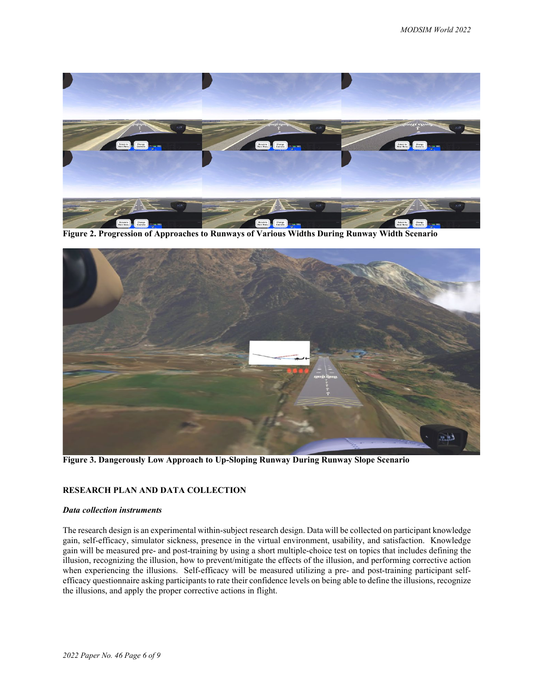

**Figure 2. Progression of Approaches to Runways of Various Widths During Runway Width Scenario**



**Figure 3. Dangerously Low Approach to Up-Sloping Runway During Runway Slope Scenario**

# **RESEARCH PLAN AND DATA COLLECTION**

#### *Data collection instruments*

The research design is an experimental within-subject research design. Data will be collected on participant knowledge gain, self-efficacy, simulator sickness, presence in the virtual environment, usability, and satisfaction. Knowledge gain will be measured pre- and post-training by using a short multiple-choice test on topics that includes defining the illusion, recognizing the illusion, how to prevent/mitigate the effects of the illusion, and performing corrective action when experiencing the illusions. Self-efficacy will be measured utilizing a pre- and post-training participant selfefficacy questionnaire asking participants to rate their confidence levels on being able to define the illusions, recognize the illusions, and apply the proper corrective actions in flight.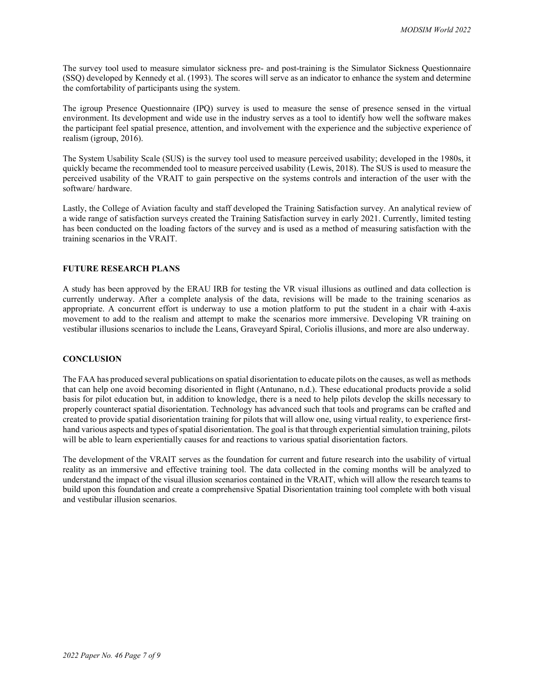The survey tool used to measure simulator sickness pre- and post-training is the Simulator Sickness Questionnaire (SSQ) developed by Kennedy et al. (1993). The scores will serve as an indicator to enhance the system and determine the comfortability of participants using the system.

The igroup Presence Questionnaire (IPQ) survey is used to measure the sense of presence sensed in the virtual environment. Its development and wide use in the industry serves as a tool to identify how well the software makes the participant feel spatial presence, attention, and involvement with the experience and the subjective experience of realism (igroup, 2016).

The System Usability Scale (SUS) is the survey tool used to measure perceived usability; developed in the 1980s, it quickly became the recommended tool to measure perceived usability (Lewis, 2018). The SUS is used to measure the perceived usability of the VRAIT to gain perspective on the systems controls and interaction of the user with the software/ hardware.

Lastly, the College of Aviation faculty and staff developed the Training Satisfaction survey. An analytical review of a wide range of satisfaction surveys created the Training Satisfaction survey in early 2021. Currently, limited testing has been conducted on the loading factors of the survey and is used as a method of measuring satisfaction with the training scenarios in the VRAIT.

## **FUTURE RESEARCH PLANS**

A study has been approved by the ERAU IRB for testing the VR visual illusions as outlined and data collection is currently underway. After a complete analysis of the data, revisions will be made to the training scenarios as appropriate. A concurrent effort is underway to use a motion platform to put the student in a chair with 4-axis movement to add to the realism and attempt to make the scenarios more immersive. Developing VR training on vestibular illusions scenarios to include the Leans, Graveyard Spiral, Coriolis illusions, and more are also underway.

#### **CONCLUSION**

The FAA has produced several publications on spatial disorientation to educate pilots on the causes, as well as methods that can help one avoid becoming disoriented in flight (Antunano, n.d.). These educational products provide a solid basis for pilot education but, in addition to knowledge, there is a need to help pilots develop the skills necessary to properly counteract spatial disorientation. Technology has advanced such that tools and programs can be crafted and created to provide spatial disorientation training for pilots that will allow one, using virtual reality, to experience firsthand various aspects and types of spatial disorientation. The goal is that through experiential simulation training, pilots will be able to learn experientially causes for and reactions to various spatial disorientation factors.

The development of the VRAIT serves as the foundation for current and future research into the usability of virtual reality as an immersive and effective training tool. The data collected in the coming months will be analyzed to understand the impact of the visual illusion scenarios contained in the VRAIT, which will allow the research teams to build upon this foundation and create a comprehensive Spatial Disorientation training tool complete with both visual and vestibular illusion scenarios.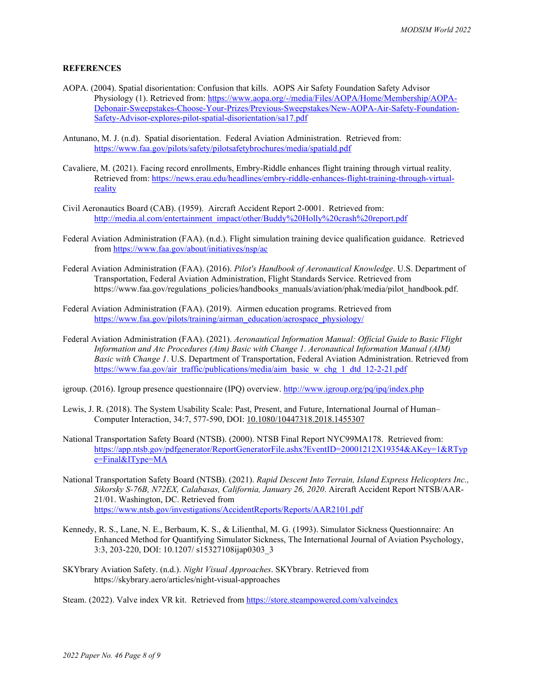## **REFERENCES**

- AOPA. (2004). Spatial disorientation: Confusion that kills. AOPS Air Safety Foundation Safety Advisor Physiology (1). Retrieved from: [https://www.aopa.org/-/media/Files/AOPA/Home/Membership/AOPA-](https://www.aopa.org/-/media/Files/AOPA/Home/Membership/AOPA-Debonair-Sweepstakes-Choose-Your-Prizes/Previous-Sweepstakes/New-AOPA-Air-Safety-Foundation-Safety-Advisor-explores-pilot-spatial-disorientation/sa17.pdf)[Debonair-Sweepstakes-Choose-Your-Prizes/Previous-Sweepstakes/New-AOPA-Air-Safety-Foundation-](https://www.aopa.org/-/media/Files/AOPA/Home/Membership/AOPA-Debonair-Sweepstakes-Choose-Your-Prizes/Previous-Sweepstakes/New-AOPA-Air-Safety-Foundation-Safety-Advisor-explores-pilot-spatial-disorientation/sa17.pdf)[Safety-Advisor-explores-pilot-spatial-disorientation/sa17.pdf](https://www.aopa.org/-/media/Files/AOPA/Home/Membership/AOPA-Debonair-Sweepstakes-Choose-Your-Prizes/Previous-Sweepstakes/New-AOPA-Air-Safety-Foundation-Safety-Advisor-explores-pilot-spatial-disorientation/sa17.pdf)
- Antunano, M. J. (n.d). Spatial disorientation. Federal Aviation Administration. Retrieved from: <https://www.faa.gov/pilots/safety/pilotsafetybrochures/media/spatiald.pdf>
- Cavaliere, M. (2021). Facing record enrollments, Embry-Riddle enhances flight training through virtual reality. Retrieved from: [https://news.erau.edu/headlines/embry-riddle-enhances-flight-training-through-virtual](https://news.erau.edu/headlines/embry-riddle-enhances-flight-training-through-virtual-reality)[reality](https://news.erau.edu/headlines/embry-riddle-enhances-flight-training-through-virtual-reality)
- Civil Aeronautics Board (CAB). (1959). Aircraft Accident Report 2-0001. Retrieved from: [http://media.al.com/entertainment\\_impact/other/Buddy%20Holly%20crash%20report.pdf](http://media.al.com/entertainment_impact/other/Buddy%20Holly%20crash%20report.pdf)
- Federal Aviation Administration (FAA). (n.d.). Flight simulation training device qualification guidance. Retrieved from<https://www.faa.gov/about/initiatives/nsp/ac>
- Federal Aviation Administration (FAA). (2016). *Pilot's Handbook of Aeronautical Knowledge*. U.S. Department of Transportation, Federal Aviation Administration, Flight Standards Service. Retrieved from https://www.faa.gov/regulations\_policies/handbooks\_manuals/aviation/phak/media/pilot\_handbook.pdf.
- Federal Aviation Administration (FAA). (2019). Airmen education programs. Retrieved from [https://www.faa.gov/pilots/training/airman\\_education/aerospace\\_physiology/](https://www.faa.gov/pilots/training/airman_education/aerospace_physiology/)
- Federal Aviation Administration (FAA). (2021). *Aeronautical Information Manual: Official Guide to Basic Flight Information and Atc Procedures (Aim) Basic with Change 1*. *Aeronautical Information Manual (AIM) Basic with Change 1*. U.S. Department of Transportation, Federal Aviation Administration. Retrieved from [https://www.faa.gov/air\\_traffic/publications/media/aim\\_basic\\_w\\_chg\\_1\\_dtd\\_12-2-21.pdf](https://www.faa.gov/air_traffic/publications/media/aim_basic_w_chg_1_dtd_12-2-21.pdf)
- igroup. (2016). Igroup presence questionnaire (IPQ) overview.<http://www.igroup.org/pq/ipq/index.php>
- Lewis, J. R. (2018). The System Usability Scale: Past, Present, and Future, International Journal of Human– Computer Interaction, 34:7, 577-590, DOI: [10.1080/10447318.2018.1455307](https://doi.org/10.1080/10447318.2018.1455307)
- National Transportation Safety Board (NTSB). (2000). NTSB Final Report NYC99MA178. Retrieved from: [https://app.ntsb.gov/pdfgenerator/ReportGeneratorFile.ashx?EventID=20001212X19354&AKey=1&RTyp](https://app.ntsb.gov/pdfgenerator/ReportGeneratorFile.ashx?EventID=20001212X19354&AKey=1&RType=Final&IType=MA) [e=Final&IType=MA](https://app.ntsb.gov/pdfgenerator/ReportGeneratorFile.ashx?EventID=20001212X19354&AKey=1&RType=Final&IType=MA)
- National Transportation Safety Board (NTSB). (2021). *Rapid Descent Into Terrain, Island Express Helicopters Inc., Sikorsky S-76B, N72EX, Calabasas, California, January 26, 2020*. Aircraft Accident Report NTSB/AAR-21/01. Washington, DC. Retrieved from <https://www.ntsb.gov/investigations/AccidentReports/Reports/AAR2101.pdf>
- Kennedy, R. S., Lane, N. E., Berbaum, K. S., & Lilienthal, M. G. (1993). Simulator Sickness Questionnaire: An Enhanced Method for Quantifying Simulator Sickness, The International Journal of Aviation Psychology, 3:3, 203-220, DOI: 10.1207/ s15327108ijap0303\_3
- SKYbrary Aviation Safety. (n.d.). *Night Visual Approaches*. SKYbrary. Retrieved from https://skybrary.aero/articles/night-visual-approaches

Steam. (2022). Valve index VR kit. Retrieved fro[m https://store.steampowered.com/valveindex](https://store.steampowered.com/valveindex)